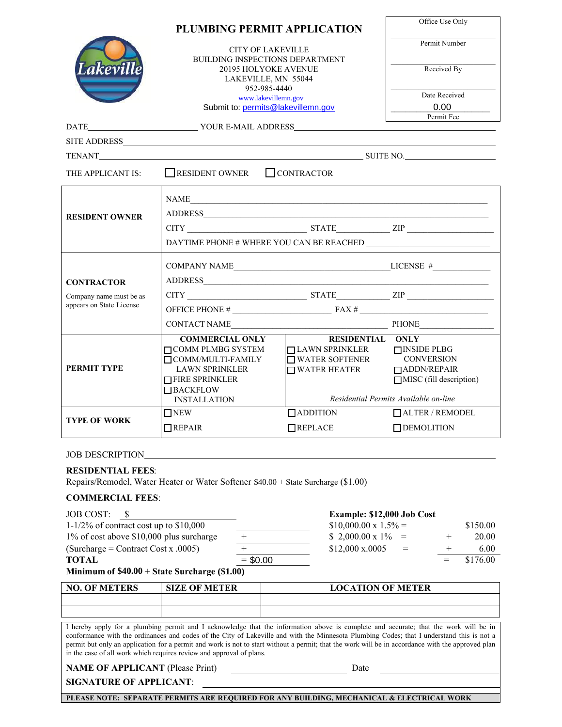|                                                                                                                                                                                                                                                                                                                                                                                                                                                                                                                | PLUMBING PERMIT APPLICATION                                                                                |                                           |                                                       |  |  |  |
|----------------------------------------------------------------------------------------------------------------------------------------------------------------------------------------------------------------------------------------------------------------------------------------------------------------------------------------------------------------------------------------------------------------------------------------------------------------------------------------------------------------|------------------------------------------------------------------------------------------------------------|-------------------------------------------|-------------------------------------------------------|--|--|--|
|                                                                                                                                                                                                                                                                                                                                                                                                                                                                                                                | <b>CITY OF LAKEVILLE</b><br>BUILDING INSPECTIONS DEPARTMENT<br>20195 HOLYOKE AVENUE<br>LAKEVILLE, MN 55044 |                                           | Permit Number                                         |  |  |  |
| Lakeville                                                                                                                                                                                                                                                                                                                                                                                                                                                                                                      |                                                                                                            |                                           | Received By                                           |  |  |  |
|                                                                                                                                                                                                                                                                                                                                                                                                                                                                                                                |                                                                                                            | 952-985-4440<br>www.lakevillemn.gov       | Date Received                                         |  |  |  |
|                                                                                                                                                                                                                                                                                                                                                                                                                                                                                                                | Submit to: permits@lakevillemn.gov                                                                         |                                           | 0.00                                                  |  |  |  |
|                                                                                                                                                                                                                                                                                                                                                                                                                                                                                                                |                                                                                                            |                                           | Permit Fee                                            |  |  |  |
|                                                                                                                                                                                                                                                                                                                                                                                                                                                                                                                |                                                                                                            |                                           |                                                       |  |  |  |
|                                                                                                                                                                                                                                                                                                                                                                                                                                                                                                                |                                                                                                            |                                           |                                                       |  |  |  |
| THE APPLICANT IS:                                                                                                                                                                                                                                                                                                                                                                                                                                                                                              | $\Box$ RESIDENT OWNER $\Box$ CONTRACTOR                                                                    |                                           |                                                       |  |  |  |
|                                                                                                                                                                                                                                                                                                                                                                                                                                                                                                                |                                                                                                            | NAME                                      |                                                       |  |  |  |
| <b>RESIDENT OWNER</b>                                                                                                                                                                                                                                                                                                                                                                                                                                                                                          |                                                                                                            |                                           |                                                       |  |  |  |
|                                                                                                                                                                                                                                                                                                                                                                                                                                                                                                                |                                                                                                            |                                           |                                                       |  |  |  |
|                                                                                                                                                                                                                                                                                                                                                                                                                                                                                                                |                                                                                                            |                                           |                                                       |  |  |  |
|                                                                                                                                                                                                                                                                                                                                                                                                                                                                                                                |                                                                                                            |                                           |                                                       |  |  |  |
| <b>CONTRACTOR</b>                                                                                                                                                                                                                                                                                                                                                                                                                                                                                              |                                                                                                            | ADDRESS                                   |                                                       |  |  |  |
| Company name must be as                                                                                                                                                                                                                                                                                                                                                                                                                                                                                        |                                                                                                            | $CITY$ $ZIP$                              |                                                       |  |  |  |
| appears on State License                                                                                                                                                                                                                                                                                                                                                                                                                                                                                       |                                                                                                            |                                           |                                                       |  |  |  |
|                                                                                                                                                                                                                                                                                                                                                                                                                                                                                                                |                                                                                                            | CONTACT NAME PHONE                        |                                                       |  |  |  |
|                                                                                                                                                                                                                                                                                                                                                                                                                                                                                                                | <b>COMMERCIAL ONLY</b>                                                                                     | <b>RESIDENTIAL ONLY</b>                   |                                                       |  |  |  |
|                                                                                                                                                                                                                                                                                                                                                                                                                                                                                                                | COMM PLMBG SYSTEM<br>$\Box$ COMM/MULTI-FAMILY                                                              | □ LAWN SPRINKLER<br>$\Box$ WATER SOFTENER | $\Box$ INSIDE PLBG<br><b>CONVERSION</b>               |  |  |  |
| <b>PERMIT TYPE</b>                                                                                                                                                                                                                                                                                                                                                                                                                                                                                             | <b>LAWN SPRINKLER</b>                                                                                      | $\Box$ WATER HEATER                       | □ ADDN/REPAIR                                         |  |  |  |
|                                                                                                                                                                                                                                                                                                                                                                                                                                                                                                                | <b>THRE SPRINKLER</b><br>$\Box$ BACKFLOW                                                                   |                                           | $MISC$ (fill description)                             |  |  |  |
|                                                                                                                                                                                                                                                                                                                                                                                                                                                                                                                | <b>INSTALLATION</b>                                                                                        |                                           | Residential Permits Available on-line                 |  |  |  |
|                                                                                                                                                                                                                                                                                                                                                                                                                                                                                                                | $\Box$ NEW                                                                                                 | $\Box$ ADDITION                           | <b>TALTER / REMODEL</b>                               |  |  |  |
| TYPE OF WORK                                                                                                                                                                                                                                                                                                                                                                                                                                                                                                   | $\Box$ REPAIR                                                                                              | $\Box$ REPLACE                            | $\Box$ DEMOLITION                                     |  |  |  |
| <b>JOB DESCRIPTION</b>                                                                                                                                                                                                                                                                                                                                                                                                                                                                                         |                                                                                                            |                                           |                                                       |  |  |  |
| <b>RESIDENTIAL FEES:</b>                                                                                                                                                                                                                                                                                                                                                                                                                                                                                       |                                                                                                            |                                           |                                                       |  |  |  |
|                                                                                                                                                                                                                                                                                                                                                                                                                                                                                                                | Repairs/Remodel, Water Heater or Water Softener \$40.00 + State Surcharge (\$1.00)                         |                                           |                                                       |  |  |  |
| <b>COMMERCIAL FEES:</b>                                                                                                                                                                                                                                                                                                                                                                                                                                                                                        |                                                                                                            |                                           |                                                       |  |  |  |
| <b>JOB COST:</b><br>$\boldsymbol{\mathsf{S}}$                                                                                                                                                                                                                                                                                                                                                                                                                                                                  |                                                                                                            | Example: \$12,000 Job Cost                |                                                       |  |  |  |
| $1-1/2\%$ of contract cost up to \$10,000                                                                                                                                                                                                                                                                                                                                                                                                                                                                      |                                                                                                            | $$10,000.00 \times 1.5\% =$               | \$150.00                                              |  |  |  |
| 1% of cost above \$10,000 plus surcharge                                                                                                                                                                                                                                                                                                                                                                                                                                                                       |                                                                                                            | $$2,000.00 \times 1\%$<br>\$12,000 x.0005 | 20.00<br>$=$ $-$<br>$^+$<br>6.00<br>$^{+}$<br>$=$ $-$ |  |  |  |
| $(Surcharge = Contract Cost x .0005)$<br><b>TOTAL</b><br>$= $0.00$<br>\$176.00<br>$=$                                                                                                                                                                                                                                                                                                                                                                                                                          |                                                                                                            |                                           |                                                       |  |  |  |
| Minimum of $$40.00 + State Surface$ (\$1.00)                                                                                                                                                                                                                                                                                                                                                                                                                                                                   |                                                                                                            |                                           |                                                       |  |  |  |
| <b>NO. OF METERS</b>                                                                                                                                                                                                                                                                                                                                                                                                                                                                                           | <b>SIZE OF METER</b>                                                                                       | <b>LOCATION OF METER</b>                  |                                                       |  |  |  |
|                                                                                                                                                                                                                                                                                                                                                                                                                                                                                                                |                                                                                                            |                                           |                                                       |  |  |  |
|                                                                                                                                                                                                                                                                                                                                                                                                                                                                                                                |                                                                                                            |                                           |                                                       |  |  |  |
| I hereby apply for a plumbing permit and I acknowledge that the information above is complete and accurate; that the work will be in<br>conformance with the ordinances and codes of the City of Lakeville and with the Minnesota Plumbing Codes; that I understand this is not a<br>permit but only an application for a permit and work is not to start without a permit; that the work will be in accordance with the approved plan<br>in the case of all work which requires review and approval of plans. |                                                                                                            |                                           |                                                       |  |  |  |
| <b>NAME OF APPLICANT (Please Print)</b><br>Date<br><u> 1980 - Johann Barbara, martxa al</u>                                                                                                                                                                                                                                                                                                                                                                                                                    |                                                                                                            |                                           |                                                       |  |  |  |
|                                                                                                                                                                                                                                                                                                                                                                                                                                                                                                                | <b>SIGNATURE OF APPLICANT:</b>                                                                             |                                           |                                                       |  |  |  |
|                                                                                                                                                                                                                                                                                                                                                                                                                                                                                                                | PLEASE NOTE: SEPARATE PERMITS ARE REQUIRED FOR ANY BUILDING, MECHANICAL & ELECTRICAL WORK                  |                                           |                                                       |  |  |  |